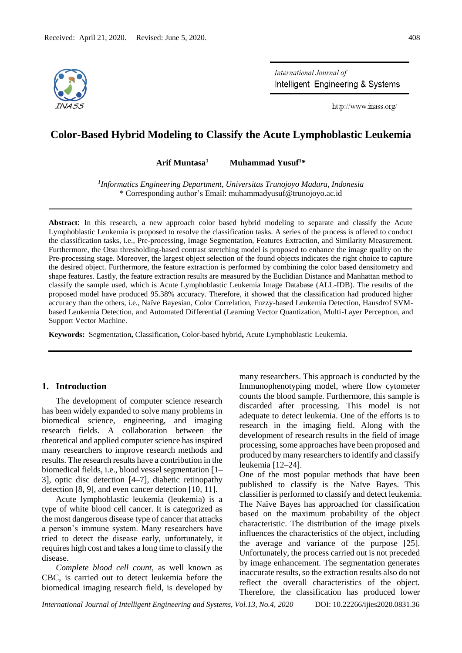

International Journal of Intelligent Engineering & Systems

http://www.inass.org/

# **Color-Based Hybrid Modeling to Classify the Acute Lymphoblastic Leukemia**

**Arif Muntasa<sup>1</sup> Muhammad Yusuf<sup>1</sup>\***

*1 Informatics Engineering Department, Universitas Trunojoyo Madura, Indonesia*  \* Corresponding author's Email: muhammadyusuf@trunojoyo.ac.id

**Abstract**: In this research, a new approach color based hybrid modeling to separate and classify the Acute Lymphoblastic Leukemia is proposed to resolve the classification tasks. A series of the process is offered to conduct the classification tasks, i.e., Pre-processing, Image Segmentation, Features Extraction, and Similarity Measurement. Furthermore, the Otsu thresholding-based contrast stretching model is proposed to enhance the image quality on the Pre-processing stage. Moreover, the largest object selection of the found objects indicates the right choice to capture the desired object. Furthermore, the feature extraction is performed by combining the color based densitometry and shape features. Lastly, the feature extraction results are measured by the Euclidian Distance and Manhattan method to classify the sample used, which is Acute Lymphoblastic Leukemia Image Database (ALL-IDB). The results of the proposed model have produced 95.38% accuracy. Therefore, it showed that the classification had produced higher accuracy than the others, i.e., Naïve Bayesian, Color Correlation, Fuzzy-based Leukemia Detection, Hausdrof SVMbased Leukemia Detection, and Automated Differential (Learning Vector Quantization, Multi-Layer Perceptron, and Support Vector Machine.

**Keywords:** Segmentation**,** Classification**,** Color-based hybrid**,** Acute Lymphoblastic Leukemia.

# **1. Introduction**

The development of computer science research has been widely expanded to solve many problems in biomedical science, engineering, and imaging research fields. A collaboration between the theoretical and applied computer science has inspired many researchers to improve research methods and results. The research results have a contribution in the biomedical fields, i.e., blood vessel segmentation [1– 3], optic disc detection [4–7], diabetic retinopathy detection [8, 9], and even cancer detection [10, 11].

Acute lymphoblastic leukemia (leukemia) is a type of white blood cell cancer. It is categorized as the most dangerous disease type of cancer that attacks a person's immune system. Many researchers have tried to detect the disease early, unfortunately, it requires high cost and takes a long time to classify the disease.

*Complete blood cell count,* as well known as CBC, is carried out to detect leukemia before the biomedical imaging research field, is developed by

many researchers. This approach is conducted by the Immunophenotyping model, where flow cytometer counts the blood sample. Furthermore, this sample is discarded after processing. This model is not adequate to detect leukemia. One of the efforts is to research in the imaging field. Along with the development of research results in the field of image processing, some approaches have been proposed and produced by many researchers to identify and classify leukemia [12–24].

One of the most popular methods that have been published to classify is the Naïve Bayes. This classifier is performed to classify and detect leukemia. The Naïve Bayes has approached for classification based on the maximum probability of the object characteristic. The distribution of the image pixels influences the characteristics of the object, including the average and variance of the purpose [25]. Unfortunately, the process carried out is not preceded by image enhancement. The segmentation generates inaccurate results, so the extraction results also do not reflect the overall characteristics of the object. Therefore, the classification has produced lower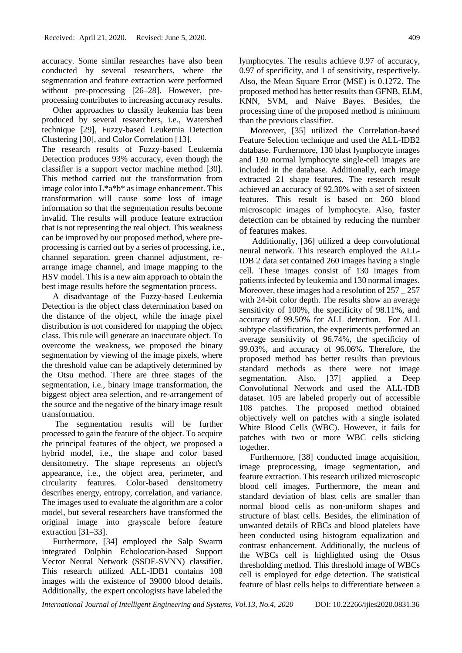accuracy. Some similar researches have also been conducted by several researchers, where the segmentation and feature extraction were performed without pre-processing [26–28]. However, preprocessing contributes to increasing accuracy results.

Other approaches to classify leukemia has been produced by several researchers, i.e., Watershed technique [29], Fuzzy-based Leukemia Detection Clustering [30], and Color Correlation [13].

The research results of Fuzzy-based Leukemia Detection produces 93% accuracy, even though the classifier is a support vector machine method [30]. This method carried out the transformation from image color into  $L^*a^*b^*$  as image enhancement. This transformation will cause some loss of image information so that the segmentation results become invalid. The results will produce feature extraction that is not representing the real object. This weakness can be improved by our proposed method, where preprocessing is carried out by a series of processing, i.e., channel separation, green channel adjustment, rearrange image channel, and image mapping to the HSV model. This is a new aim approach to obtain the best image results before the segmentation process.

A disadvantage of the Fuzzy-based Leukemia Detection is the object class determination based on the distance of the object, while the image pixel distribution is not considered for mapping the object class. This rule will generate an inaccurate object. To overcome the weakness, we proposed the binary segmentation by viewing of the image pixels, where the threshold value can be adaptively determined by the Otsu method. There are three stages of the segmentation, i.e., binary image transformation, the biggest object area selection, and re-arrangement of the source and the negative of the binary image result transformation.

The segmentation results will be further processed to gain the feature of the object. To acquire the principal features of the object, we proposed a hybrid model, i.e., the shape and color based densitometry. The shape represents an object's appearance, i.e., the object area, perimeter, and circularity features. Color-based densitometry describes energy, entropy, correlation, and variance. The images used to evaluate the algorithm are a color model, but several researchers have transformed the original image into grayscale before feature extraction [31–33].

Furthermore, [34] employed the Salp Swarm integrated Dolphin Echolocation-based Support Vector Neural Network (SSDE-SVNN) classifier. This research utilized ALL-IDB1 contains 108 images with the existence of 39000 blood details. Additionally, the expert oncologists have labeled the lymphocytes. The results achieve 0.97 of accuracy, 0.97 of specificity, and 1 of sensitivity, respectively. Also, the Mean Square Error (MSE) is 0.1272. The proposed method has better results than GFNB, ELM, KNN, SVM, and Naive Bayes. Besides, the processing time of the proposed method is minimum than the previous classifier.

Moreover, [35] utilized the Correlation-based Feature Selection technique and used the ALL-IDB2 database. Furthermore, 130 blast lymphocyte images and 130 normal lymphocyte single-cell images are included in the database. Additionally, each image extracted 21 shape features. The research result achieved an accuracy of 92*.*30% with a set of sixteen features. This result is based on 260 blood microscopic images of lymphocyte. Also, faster detection can be obtained by reducing the number of features makes.

Additionally, [36] utilized a deep convolutional neural network. This research employed the ALL-IDB 2 data set contained 260 images having a single cell. These images consist of 130 images from patients infected by leukemia and 130 normal images. Moreover, these images had a resolution of 257 \_ 257 with 24-bit color depth. The results show an average sensitivity of 100%, the specificity of 98.11%, and accuracy of 99.50% for ALL detection. For ALL subtype classification, the experiments performed an average sensitivity of 96.74%, the specificity of 99.03%, and accuracy of 96.06%. Therefore, the proposed method has better results than previous standard methods as there were not image segmentation. Also, [37] applied a Deep Convolutional Network and used the ALL-IDB dataset. 105 are labeled properly out of accessible 108 patches. The proposed method obtained objectively well on patches with a single isolated White Blood Cells (WBC). However, it fails for patches with two or more WBC cells sticking together.

Furthermore, [38] conducted image acquisition, image preprocessing, image segmentation, and feature extraction. This research utilized microscopic blood cell images. Furthermore, the mean and standard deviation of blast cells are smaller than normal blood cells as non-uniform shapes and structure of blast cells. Besides, the elimination of unwanted details of RBCs and blood platelets have been conducted using histogram equalization and contrast enhancement. Additionally, the nucleus of the WBCs cell is highlighted using the Otsus thresholding method. This threshold image of WBCs cell is employed for edge detection. The statistical feature of blast cells helps to differentiate between a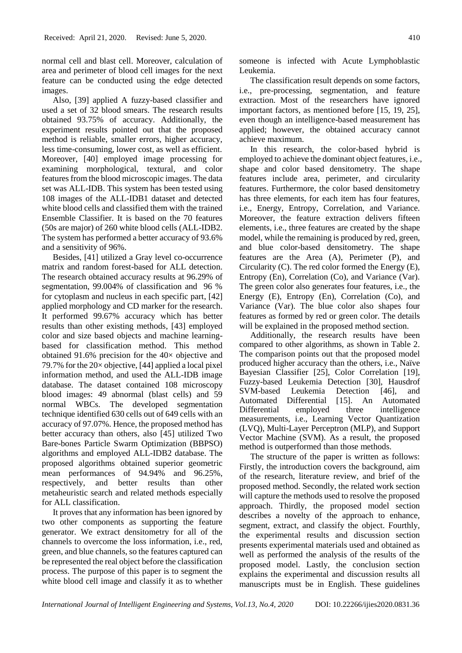normal cell and blast cell. Moreover, calculation of area and perimeter of blood cell images for the next feature can be conducted using the edge detected images.

Also, [39] applied A fuzzy-based classifier and used a set of 32 blood smears. The research results obtained 93.75% of accuracy. Additionally, the experiment results pointed out that the proposed method is reliable, smaller errors, higher accuracy, less time-consuming, lower cost, as well as efficient. Moreover, [40] employed image processing for examining morphological, textural, and color features from the blood microscopic images. The data set was ALL-IDB. This system has been tested using 108 images of the ALL-IDB1 dataset and detected white blood cells and classified them with the trained Ensemble Classifier. It is based on the 70 features (50s are major) of 260 white blood cells (ALL-IDB2. The system has performed a better accuracy of 93.6% and a sensitivity of 96%.

Besides, [41] utilized a Gray level co-occurrence matrix and random forest-based for ALL detection. The research obtained accuracy results at 96.29% of segmentation, 99.004% of classification and 96 % for cytoplasm and nucleus in each specific part, [42] applied morphology and CD marker for the research. It performed 99.67% accuracy which has better results than other existing methods, [43] employed color and size based objects and machine learningbased for classification method. This method obtained 91.6% precision for the 40× objective and 79.7% for the  $20 \times$  objective, [44] applied a local pixel information method, and used the ALL-IDB image database. The dataset contained 108 microscopy blood images: 49 abnormal (blast cells) and 59 normal WBCs. The developed segmentation technique identified 630 cells out of 649 cells with an accuracy of 97.07%. Hence, the proposed method has better accuracy than others, also [45] utilized Two Bare-bones Particle Swarm Optimization (BBPSO) algorithms and employed ALL-IDB2 database. The proposed algorithms obtained superior geometric mean performances of 94.94% and 96.25%, respectively, and better results than other metaheuristic search and related methods especially for ALL classification.

It proves that any information has been ignored by two other components as supporting the feature generator. We extract densitometry for all of the channels to overcome the loss information, i.e., red, green, and blue channels, so the features captured can be represented the real object before the classification process. The purpose of this paper is to segment the white blood cell image and classify it as to whether someone is infected with Acute Lymphoblastic Leukemia.

The classification result depends on some factors, i.e., pre-processing, segmentation, and feature extraction. Most of the researchers have ignored important factors, as mentioned before [15, 19, 25], even though an intelligence-based measurement has applied; however, the obtained accuracy cannot achieve maximum.

In this research, the color-based hybrid is employed to achieve the dominant object features, i.e., shape and color based densitometry. The shape features include area, perimeter, and circularity features. Furthermore, the color based densitometry has three elements, for each item has four features, i.e., Energy, Entropy, Correlation, and Variance. Moreover, the feature extraction delivers fifteen elements, i.e., three features are created by the shape model, while the remaining is produced by red, green, and blue color-based densitometry. The shape features are the Area (A), Perimeter (P), and Circularity (C). The red color formed the Energy (E), Entropy (En), Correlation (Co), and Variance (Var). The green color also generates four features, i.e., the Energy (E), Entropy (En), Correlation (Co), and Variance (Var). The blue color also shapes four features as formed by red or green color. The details will be explained in the proposed method section.

Additionally, the research results have been compared to other algorithms, as shown in Table 2. The comparison points out that the proposed model produced higher accuracy than the others, i.e., Naïve Bayesian Classifier [25], Color Correlation [19], Fuzzy-based Leukemia Detection [30], Hausdrof SVM-based Leukemia Detection [46], and Automated Differential [15]. An Automated Differential employed three intelligence measurements, i.e., Learning Vector Quantization (LVQ), Multi-Layer Perceptron (MLP), and Support Vector Machine (SVM). As a result, the proposed method is outperformed than those methods.

The structure of the paper is written as follows: Firstly, the introduction covers the background, aim of the research, literature review, and brief of the proposed method. Secondly, the related work section will capture the methods used to resolve the proposed approach. Thirdly, the proposed model section describes a novelty of the approach to enhance, segment, extract, and classify the object. Fourthly, the experimental results and discussion section presents experimental materials used and obtained as well as performed the analysis of the results of the proposed model. Lastly, the conclusion section explains the experimental and discussion results all manuscripts must be in English. These guidelines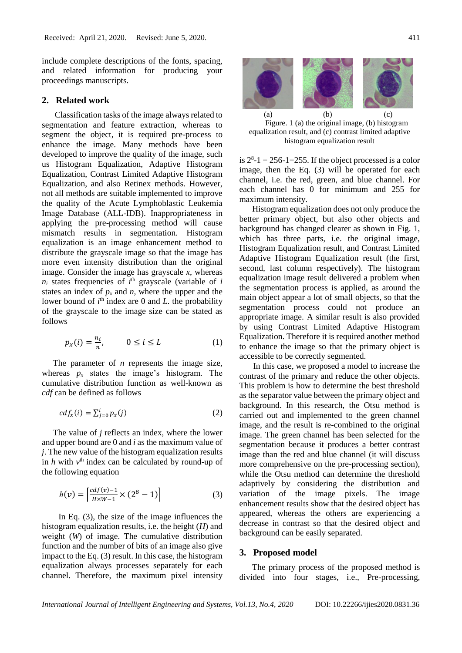include complete descriptions of the fonts, spacing, and related information for producing your proceedings manuscripts.

# **2. Related work**

Classification tasks of the image always related to segmentation and feature extraction, whereas to segment the object, it is required pre-process to enhance the image. Many methods have been developed to improve the quality of the image, such us Histogram Equalization, Adaptive Histogram Equalization, Contrast Limited Adaptive Histogram Equalization, and also Retinex methods. However, not all methods are suitable implemented to improve the quality of the Acute Lymphoblastic Leukemia Image Database (ALL-IDB). Inappropriateness in applying the pre-processing method will cause mismatch results in segmentation. Histogram equalization is an image enhancement method to distribute the grayscale image so that the image has more even intensity distribution than the original image. Consider the image has grayscale *x*, whereas  $n_i$  states frequencies of  $i$ <sup>th</sup> grayscale (variable of  $i$ states an index of  $p_x$  and  $n$ , where the upper and the lower bound of  $i<sup>th</sup>$  index are 0 and *L*. the probability of the grayscale to the image size can be stated as follows

$$
p_x(i) = \frac{n_i}{n}, \qquad 0 \le i \le L \tag{1}
$$

The parameter of *n* represents the image size, whereas  $p_x$  states the image's histogram. The cumulative distribution function as well-known as *cdf* can be defined as follows

$$
cdf_x(i) = \sum_{j=0}^{i} p_x(j) \tag{2}
$$

The value of *j* reflects an index, where the lower and upper bound are 0 and *i* as the maximum value of *j*. The new value of the histogram equalization results in  $h$  with  $v<sup>th</sup>$  index can be calculated by round-up of the following equation

$$
h(v) = \left[ \frac{cdf(v) - 1}{H \times W - 1} \times (2^8 - 1) \right]
$$
 (3)

In Eq. (3), the size of the image influences the histogram equalization results, i.e. the height (*H*) and weight (*W*) of image. The cumulative distribution function and the number of bits of an image also give impact to the Eq. (3) result. In this case, the histogram equalization always processes separately for each channel. Therefore, the maximum pixel intensity



Figure. 1 (a) the original image, (b) histogram equalization result, and (c) contrast limited adaptive histogram equalization result

is  $2^8 - 1 = 256 - 1 = 255$ . If the object processed is a color image, then the Eq. (3) will be operated for each channel, i.e. the red, green, and blue channel. For each channel has 0 for minimum and 255 for maximum intensity.

Histogram equalization does not only produce the better primary object, but also other objects and background has changed clearer as shown in Fig. 1, which has three parts, i.e. the original image, Histogram Equalization result, and Contrast Limited Adaptive Histogram Equalization result (the first, second, last column respectively). The histogram equalization image result delivered a problem when the segmentation process is applied, as around the main object appear a lot of small objects, so that the segmentation process could not produce an appropriate image. A similar result is also provided by using Contrast Limited Adaptive Histogram Equalization. Therefore it is required another method to enhance the image so that the primary object is accessible to be correctly segmented.

In this case, we proposed a model to increase the contrast of the primary and reduce the other objects. This problem is how to determine the best threshold as the separator value between the primary object and background. In this research, the Otsu method is carried out and implemented to the green channel image, and the result is re-combined to the original image. The green channel has been selected for the segmentation because it produces a better contrast image than the red and blue channel (it will discuss more comprehensive on the pre-processing section), while the Otsu method can determine the threshold adaptively by considering the distribution and variation of the image pixels. The image enhancement results show that the desired object has appeared, whereas the others are experiencing a decrease in contrast so that the desired object and background can be easily separated.

### **3. Proposed model**

The primary process of the proposed method is divided into four stages, i.e., Pre-processing,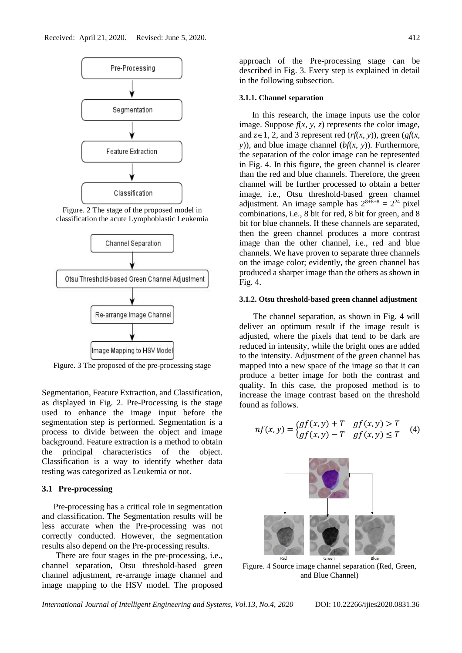

Figure. 2 The stage of the proposed model in classification the acute Lymphoblastic Leukemia



Figure. 3 The proposed of the pre-processing stage

Segmentation, Feature Extraction, and Classification, as displayed in Fig. 2. Pre-Processing is the stage used to enhance the image input before the segmentation step is performed. Segmentation is a process to divide between the object and image background. Feature extraction is a method to obtain the principal characteristics of the object. Classification is a way to identify whether data testing was categorized as Leukemia or not.

# **3.1 Pre-processing**

Pre-processing has a critical role in segmentation and classification. The Segmentation results will be less accurate when the Pre-processing was not correctly conducted. However, the segmentation results also depend on the Pre-processing results.

There are four stages in the pre-processing, i.e., channel separation, Otsu threshold-based green channel adjustment, re-arrange image channel and image mapping to the HSV model. The proposed

approach of the Pre-processing stage can be described in Fig. 3. Every step is explained in detail in the following subsection.

### **3.1.1. Channel separation**

In this research, the image inputs use the color image. Suppose  $f(x, y, z)$  represents the color image, and  $z \in 1$ , 2, and 3 represent red (*rf*(*x*, *y*)), green (*gf*(*x*, *y*)), and blue image channel (*bf*(*x*, *y*)). Furthermore, the separation of the color image can be represented in Fig. 4. In this figure, the green channel is clearer than the red and blue channels. Therefore, the green channel will be further processed to obtain a better image, i.e., Otsu threshold-based green channel adjustment. An image sample has  $2^{8+8+8} = 2^{24}$  pixel combinations, i.e., 8 bit for red, 8 bit for green, and 8 bit for blue channels. If these channels are separated, then the green channel produces a more contrast image than the other channel, i.e., red and blue channels. We have proven to separate three channels on the image color; evidently, the green channel has produced a sharper image than the others as shown in Fig. 4.

#### **3.1.2. Otsu threshold-based green channel adjustment**

The channel separation, as shown in Fig. 4 will deliver an optimum result if the image result is adjusted, where the pixels that tend to be dark are reduced in intensity, while the bright ones are added to the intensity. Adjustment of the green channel has mapped into a new space of the image so that it can produce a better image for both the contrast and quality. In this case, the proposed method is to increase the image contrast based on the threshold found as follows.

$$
nf(x, y) = \begin{cases} gf(x, y) + T & gf(x, y) > T \\ gf(x, y) - T & gf(x, y) \le T \end{cases}
$$
 (4)



Figure. 4 Source image channel separation (Red, Green, and Blue Channel)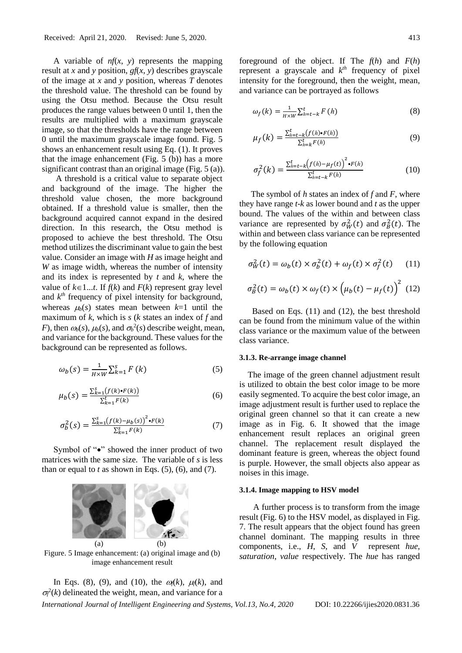A variable of *nf*(*x*, *y*) represents the mapping result at *x* and *y* position, *gf*(*x*, *y*) describes grayscale of the image at *x* and *y* position, whereas *T* denotes the threshold value. The threshold can be found by using the Otsu method. Because the Otsu result produces the range values between 0 until 1, then the results are multiplied with a maximum grayscale image, so that the thresholds have the range between 0 until the maximum grayscale image found. Fig. 5 shows an enhancement result using Eq. (1). It proves that the image enhancement (Fig. 5 (b)) has a more significant contrast than an original image (Fig. 5 (a)).

A threshold is a critical value to separate object and background of the image. The higher the threshold value chosen, the more background obtained. If a threshold value is smaller, then the background acquired cannot expand in the desired direction. In this research, the Otsu method is proposed to achieve the best threshold. The Otsu method utilizes the discriminant value to gain the best value. Consider an image with *H* as image height and *W* as image width, whereas the number of intensity and its index is represented by *t* and *k*, where the value of  $k \in 1...$ *t*. If  $f(k)$  and  $F(k)$  represent gray level and  $k^{th}$  frequency of pixel intensity for background, whereas  $\mu_b(s)$  states mean between  $k=1$  until the maximum of *k*, which is *s* (*k* states an index of *f* and *F*), then  $\omega_b(s)$ ,  $\mu_b(s)$ , and  $\sigma_b^2(s)$  describe weight, mean, and variance for the background. These values for the background can be represented as follows.

$$
\omega_b(s) = \frac{1}{H \times W} \sum_{k=1}^{s} F(k) \tag{5}
$$

$$
\mu_b(s) = \frac{\sum_{k=1}^{s} (f(k) \cdot F(k))}{\sum_{k=1}^{t} F(k)}
$$
\n(6)

$$
\sigma_b^2(s) = \frac{\sum_{k=1}^{s} (f(k) - \mu_b(s))^2 \cdot F(k)}{\sum_{k=1}^{s} F(k)} \tag{7}
$$

Symbol of "•" showed the inner product of two matrices with the same size. The variable of *s* is less than or equal to  $t$  as shown in Eqs.  $(5)$ ,  $(6)$ , and  $(7)$ .



Figure. 5 Image enhancement: (a) original image and (b) image enhancement result

In Eqs. (8), (9), and (10), the  $\omega_f(k)$ ,  $\mu_f(k)$ , and  $\sigma_f^2(k)$  delineated the weight, mean, and variance for a foreground of the object. If The *f*(*h*) and *F*(*h*) represent a grayscale and  $k<sup>th</sup>$  frequency of pixel intensity for the foreground, then the weight, mean, and variance can be portrayed as follows

$$
\omega_f(k) = \frac{1}{H \times W} \sum_{h=t-k}^{t} F(h) \tag{8}
$$

$$
\mu_f(k) = \frac{\sum_{h=t-k}^{t} (f(h) \cdot F(h))}{\sum_{h=k}^{t} F(h)}
$$
\n(9)

$$
\sigma_f^2(k) = \frac{\sum_{h=t-k}^t (f(h) - \mu_f(t))^2 \cdot F(h)}{\sum_{h=t-k}^t F(h)}
$$
(10)

The symbol of *h* states an index of *f* and *F*, where they have range *t*-*k* as lower bound and *t* as the upper bound. The values of the within and between class variance are represented by  $\sigma_W^2(t)$  and  $\sigma_B^2(t)$ . The within and between class variance can be represented by the following equation

$$
\sigma_W^2(t) = \omega_b(t) \times \sigma_b^2(t) + \omega_f(t) \times \sigma_f^2(t) \tag{11}
$$

$$
\sigma_B^2(t) = \omega_b(t) \times \omega_f(t) \times (\mu_b(t) - \mu_f(t))^2
$$
 (12)

Based on Eqs. (11) and (12), the best threshold can be found from the minimum value of the within class variance or the maximum value of the between class variance.

#### **3.1.3. Re-arrange image channel**

The image of the green channel adjustment result is utilized to obtain the best color image to be more easily segmented. To acquire the best color image, an image adjustment result is further used to replace the original green channel so that it can create a new image as in Fig. 6. It showed that the image enhancement result replaces an original green channel. The replacement result displayed the dominant feature is green, whereas the object found is purple. However, the small objects also appear as noises in this image.

#### **3.1.4. Image mapping to HSV model**

A further process is to transform from the image result (Fig. 6) to the HSV model, as displayed in Fig. 7. The result appears that the object found has green channel dominant. The mapping results in three components, i.e., *H*, *S*, and *V* represent *hue*, *saturation*, *value* respectively. The *hue* has ranged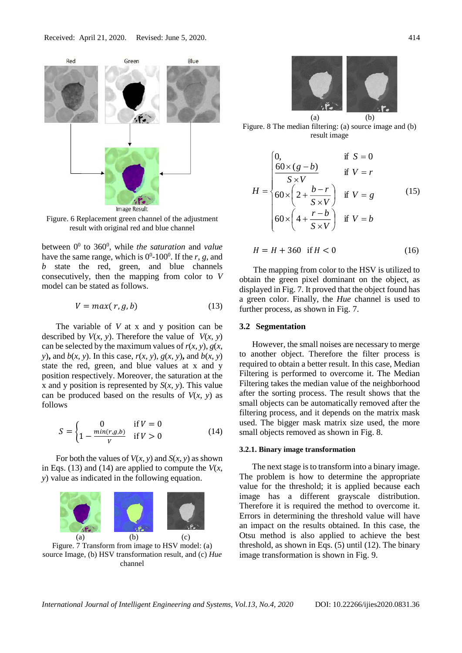

Figure. 6 Replacement green channel of the adjustment result with original red and blue channel

between 0<sup>0</sup> to 360<sup>0</sup>, while *the saturation* and *value* have the same range, which is  $0^0$ -100<sup>0</sup>. If the *r*, *g*, and *b* state the red, green, and blue channels consecutively, then the mapping from color to *V* model can be stated as follows.

$$
V = max(r, g, b) \tag{13}
$$

The variable of *V* at x and y position can be described by  $V(x, y)$ . Therefore the value of  $V(x, y)$ can be selected by the maximum values of  $r(x, y)$ ,  $g(x, y)$ *y*), and  $b(x, y)$ . In this case,  $r(x, y)$ ,  $g(x, y)$ , and  $b(x, y)$ state the red, green, and blue values at x and y position respectively. Moreover, the saturation at the x and y position is represented by *S*(*x, y*). This value can be produced based on the results of  $V(x, y)$  as follows

$$
S = \begin{cases} 0 & \text{if } V = 0\\ 1 - \frac{\min(r, g, b)}{V} & \text{if } V > 0 \end{cases}
$$
(14)

For both the values of  $V(x, y)$  and  $S(x, y)$  as shown in Eqs. (13) and (14) are applied to compute the  $V(x)$ , *y*) value as indicated in the following equation.



source Image, (b) HSV transformation result, and (c) *Hue* channel



Figure. 8 The median filtering: (a) source image and (b) result image

$$
H = \begin{cases} 0, & \text{if } S = 0 \\ \frac{60 \times (g - b)}{S \times V} & \text{if } V = r \\ 60 \times \left(2 + \frac{b - r}{S \times V}\right) & \text{if } V = g \\ 60 \times \left(4 + \frac{r - b}{S \times V}\right) & \text{if } V = b \end{cases} \tag{15}
$$

$$
H = H + 360 \quad \text{if } H < 0 \tag{16}
$$

The mapping from color to the HSV is utilized to obtain the green pixel dominant on the object, as displayed in Fig. 7. It proved that the object found has a green color. Finally, the *Hue* channel is used to further process, as shown in Fig. 7.

## **3.2 Segmentation**

However, the small noises are necessary to merge to another object. Therefore the filter process is required to obtain a better result. In this case, Median Filtering is performed to overcome it. The Median Filtering takes the median value of the neighborhood after the sorting process. The result shows that the small objects can be automatically removed after the filtering process, and it depends on the matrix mask used. The bigger mask matrix size used, the more small objects removed as shown in Fig. 8.

#### **3.2.1. Binary image transformation**

The next stage is to transform into a binary image. The problem is how to determine the appropriate value for the threshold; it is applied because each image has a different grayscale distribution. Therefore it is required the method to overcome it. Errors in determining the threshold value will have an impact on the results obtained. In this case, the Otsu method is also applied to achieve the best threshold, as shown in Eqs. (5) until (12). The binary image transformation is shown in Fig. 9.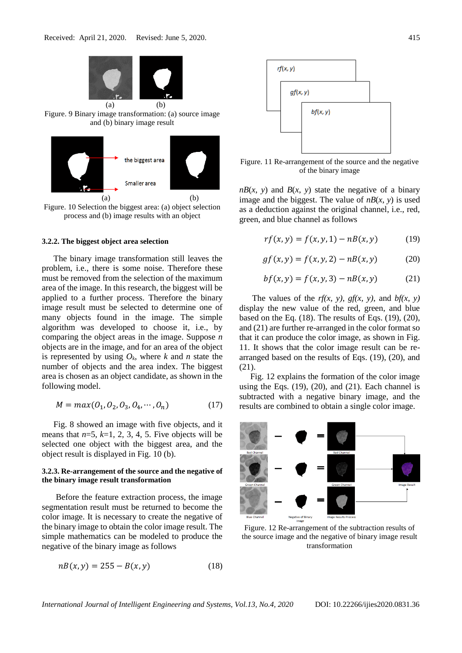



Figure. 10 Selection the biggest area: (a) object selection process and (b) image results with an object

#### **3.2.2. The biggest object area selection**

The binary image transformation still leaves the problem, i.e., there is some noise. Therefore these must be removed from the selection of the maximum area of the image. In this research, the biggest will be applied to a further process. Therefore the binary image result must be selected to determine one of many objects found in the image. The simple algorithm was developed to choose it, i.e., by comparing the object areas in the image. Suppose *n* objects are in the image, and for an area of the object is represented by using  $O_k$ , where  $k$  and  $n$  state the number of objects and the area index. The biggest area is chosen as an object candidate, as shown in the following model.

$$
M = max(O_1, O_2, O_3, O_4, \cdots, O_n)
$$
 (17)

Fig. 8 showed an image with five objects, and it means that  $n=5$ ,  $k=1, 2, 3, 4, 5$ . Five objects will be selected one object with the biggest area, and the object result is displayed in Fig. 10 (b).

### **3.2.3. Re-arrangement of the source and the negative of the binary image result transformation**

Before the feature extraction process, the image segmentation result must be returned to become the color image. It is necessary to create the negative of the binary image to obtain the color image result. The simple mathematics can be modeled to produce the negative of the binary image as follows

$$
n(x, y) = 255 - B(x, y)
$$
 (18)



Figure. 11 Re-arrangement of the source and the negative of the binary image

 $nB(x, y)$  and  $B(x, y)$  state the negative of a binary image and the biggest. The value of  $nB(x, y)$  is used as a deduction against the original channel, i.e., red, green, and blue channel as follows

$$
rf(x, y) = f(x, y, 1) - nB(x, y)
$$
 (19)

$$
gf(x, y) = f(x, y, 2) - nB(x, y)
$$
 (20)

$$
bf(x, y) = f(x, y, 3) - nB(x, y)
$$
 (21)

The values of the  $rf(x, y)$ ,  $gf(x, y)$ , and  $bf(x, y)$ display the new value of the red, green, and blue based on the Eq.  $(18)$ . The results of Eqs.  $(19)$ ,  $(20)$ , and (21) are further re-arranged in the color format so that it can produce the color image, as shown in Fig. 11. It shows that the color image result can be rearranged based on the results of Eqs. (19), (20), and (21).

Fig. 12 explains the formation of the color image using the Eqs.  $(19)$ ,  $(20)$ , and  $(21)$ . Each channel is subtracted with a negative binary image, and the results are combined to obtain a single color image.



Figure. 12 Re-arrangement of the subtraction results of the source image and the negative of binary image result transformation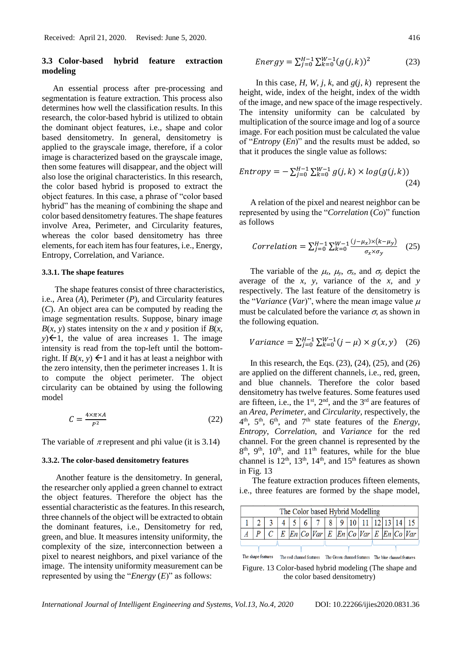# **3.3 Color-based hybrid feature extraction modeling**

An essential process after pre-processing and segmentation is feature extraction. This process also determines how well the classification results. In this research, the color-based hybrid is utilized to obtain the dominant object features, i.e., shape and color based densitometry. In general, densitometry is applied to the grayscale image, therefore, if a color image is characterized based on the grayscale image, then some features will disappear, and the object will also lose the original characteristics. In this research, the color based hybrid is proposed to extract the object features. In this case, a phrase of "color based hybrid" has the meaning of combining the shape and color based densitometry features. The shape features involve Area, Perimeter, and Circularity features, whereas the color based densitometry has three elements, for each item has four features, i.e., Energy, Entropy, Correlation, and Variance.

### **3.3.1. The shape features**

The shape features consist of three characteristics, i.e., Area (*A*), Perimeter (*P*), and Circularity features (*C*). An object area can be computed by reading the image segmentation results. Suppose, binary image  $B(x, y)$  states intensity on the *x* and *y* position if  $B(x, y)$  $y \in \{-1\}$ , the value of area increases 1. The image intensity is read from the top-left until the bottomright. If  $B(x, y) \leftarrow 1$  and it has at least a neighbor with the zero intensity, then the perimeter increases 1. It is to compute the object perimeter. The object circularity can be obtained by using the following model

$$
C = \frac{4 \times \pi \times A}{P^2} \tag{22}
$$

The variable of  $\pi$  represent and phi value (it is 3.14)

#### **3.3.2. The color-based densitometry features**

Another feature is the densitometry. In general, the researcher only applied a green channel to extract the object features. Therefore the object has the essential characteristic as the features. In this research, three channels of the object will be extracted to obtain the dominant features, i.e., Densitometry for red, green, and blue. It measures intensity uniformity, the complexity of the size, interconnection between a pixel to nearest neighbors, and pixel variance of the image. The intensity uniformity measurement can be represented by using the "*Energy* (*E*)" as follows:

$$
Energy = \sum_{j=0}^{H-1} \sum_{k=0}^{W-1} (g(j,k))^2
$$
 (23)

In this case, *H*, *W*, *j*, *k*, and  $g(i, k)$  represent the height, wide, index of the height, index of the width of the image, and new space of the image respectively. The intensity uniformity can be calculated by multiplication of the source image and log of a source image. For each position must be calculated the value of "*Entropy* (*En*)" and the results must be added, so that it produces the single value as follows:

$$
Entropy = -\sum_{j=0}^{H-1} \sum_{k=0}^{W-1} g(j,k) \times log(g(j,k))
$$
\n
$$
(24)
$$

A relation of the pixel and nearest neighbor can be represented by using the "*Correlation* (*Co*)" function as follows

$$
Correlation = \sum_{j=0}^{H-1} \sum_{k=0}^{W-1} \frac{(j - \mu_x) \times (k - \mu_y)}{\sigma_x \times \sigma_y} \quad (25)
$$

The variable of the  $\mu_x$ ,  $\mu_y$ ,  $\sigma_x$ , and  $\sigma_y$  depict the average of the *x*, *y,* variance of the *x*, and *y* respectively. The last feature of the densitometry is the "*Variance* (*Var*)", where the mean image value  $\mu$ must be calculated before the variance  $\sigma$ , as shown in the following equation.

Variance = 
$$
\sum_{j=0}^{H-1} \sum_{k=0}^{W-1} (j - \mu) \times g(x, y)
$$
 (26)

In this research, the Eqs. (23), (24), (25), and (26) are applied on the different channels, i.e., red, green, and blue channels. Therefore the color based densitometry has twelve features. Some features used are fifteen, i.e., the  $1<sup>st</sup>$ ,  $2<sup>nd</sup>$ , and the  $3<sup>rd</sup>$  are features of an *Area*, *Perimeter*, and *Circularity,* respectively, the  $4<sup>th</sup>$ ,  $5<sup>th</sup>$ ,  $6<sup>th</sup>$ , and  $7<sup>th</sup>$  state features of the *Energy*, *Entropy*, *Correlation*, and *Variance* for the red channel. For the green channel is represented by the  $8<sup>th</sup>$ ,  $9<sup>th</sup>$ ,  $10<sup>th</sup>$ , and  $11<sup>th</sup>$  features, while for the blue channel is  $12<sup>th</sup>$ ,  $13<sup>th</sup>$ ,  $14<sup>th</sup>$ , and  $15<sup>th</sup>$  features as shown in Fig. 13

The feature extraction produces fifteen elements, i.e., three features are formed by the shape model,

| The Color based Hybrid Modelling |  |  |  |  |                                                             |  |  |  |  |  |
|----------------------------------|--|--|--|--|-------------------------------------------------------------|--|--|--|--|--|
|                                  |  |  |  |  | $3   4   5   6   7   8   9   10   11   12   13   14   15$   |  |  |  |  |  |
|                                  |  |  |  |  | $E$ $En$ $Co$ $Var$ $E$ $En$ $Co$ $Var$ $E$ $En$ $Co$ $Var$ |  |  |  |  |  |
|                                  |  |  |  |  |                                                             |  |  |  |  |  |

The red channel features The Green channel features The blue channel features The shape features

Figure. 13 Color-based hybrid modeling (The shape and the color based densitometry)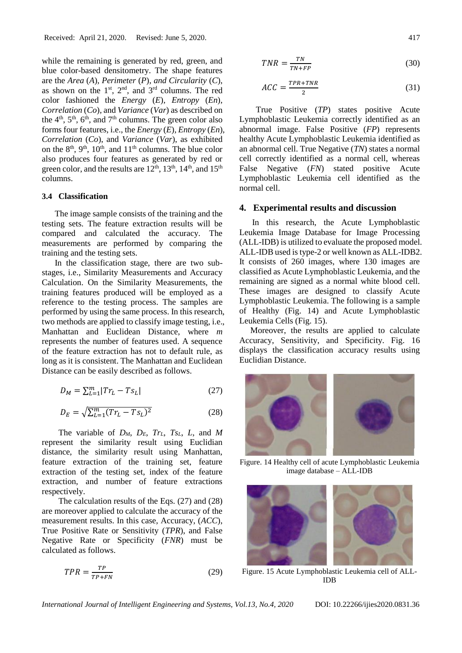while the remaining is generated by red, green, and blue color-based densitometry. The shape features are the *Area* (*A*)*, Perimeter* (*P*)*, and Circularity* (*C*), as shown on the  $1<sup>st</sup>$ ,  $2<sup>nd</sup>$ , and  $3<sup>rd</sup>$  columns. The red color fashioned the *Energy* (*E*)*, Entropy* (*En*)*, Correlation* (*Co*)*,* and *Variance* (*Var*) as described on the  $4<sup>th</sup>$ ,  $5<sup>th</sup>$ ,  $6<sup>th</sup>$ , and  $7<sup>th</sup>$  columns. The green color also forms four features, i.e., the *Energy* (*E*)*, Entropy* (*En*)*, Correlation* (*Co*), and *Variance* (*Var*), as exhibited on the  $8<sup>th</sup>$ ,  $9<sup>th</sup>$ ,  $10<sup>th</sup>$ , and  $11<sup>th</sup>$  columns. The blue color also produces four features as generated by red or green color, and the results are  $12<sup>th</sup>$ ,  $13<sup>th</sup>$ ,  $14<sup>th</sup>$ , and  $15<sup>th</sup>$ columns.

# **3.4 Classification**

The image sample consists of the training and the testing sets. The feature extraction results will be compared and calculated the accuracy. The measurements are performed by comparing the training and the testing sets.

In the classification stage, there are two substages, i.e., Similarity Measurements and Accuracy Calculation. On the Similarity Measurements, the training features produced will be employed as a reference to the testing process. The samples are performed by using the same process. In this research, two methods are applied to classify image testing, i.e., Manhattan and Euclidean Distance, where *m* represents the number of features used. A sequence of the feature extraction has not to default rule, as long as it is consistent. The Manhattan and Euclidean Distance can be easily described as follows.

$$
D_M = \sum_{L=1}^{m} |Tr_L - Ts_L| \tag{27}
$$

$$
D_E = \sqrt{\sum_{L=1}^{m} (Tr_L - Ts_L)^2}
$$
 (28)

The variable of *DM*, *DE*, *TrL*, *TsL*, *L*, and *M* represent the similarity result using Euclidian distance, the similarity result using Manhattan, feature extraction of the training set, feature extraction of the testing set, index of the feature extraction, and number of feature extractions respectively.

The calculation results of the Eqs. (27) and (28) are moreover applied to calculate the accuracy of the measurement results. In this case, Accuracy, (*ACC*), True Positive Rate or Sensitivity (*TPR*), and False Negative Rate or Specificity (*FNR*) must be calculated as follows.

$$
TPR = \frac{TP}{TP + FN} \tag{29}
$$

$$
TNR = \frac{TN}{TN + FP}
$$
\n<sup>(30)</sup>

$$
ACC = \frac{TPR + TNR}{2} \tag{31}
$$

True Positive (*TP*) states positive Acute Lymphoblastic Leukemia correctly identified as an abnormal image. False Positive (*FP*) represents healthy Acute Lymphoblastic Leukemia identified as an abnormal cell. True Negative (*TN*) states a normal cell correctly identified as a normal cell, whereas False Negative (*FN*) stated positive Acute Lymphoblastic Leukemia cell identified as the normal cell.

# **4. Experimental results and discussion**

In this research, the Acute Lymphoblastic Leukemia Image Database for Image Processing (ALL-IDB) is utilized to evaluate the proposed model. ALL-IDB used is type-2 or well known as ALL-IDB2. It consists of 260 images, where 130 images are classified as Acute Lymphoblastic Leukemia, and the remaining are signed as a normal white blood cell. These images are designed to classify Acute Lymphoblastic Leukemia. The following is a sample of Healthy (Fig. 14) and Acute Lymphoblastic Leukemia Cells (Fig. 15).

Moreover, the results are applied to calculate Accuracy, Sensitivity, and Specificity. Fig. 16 displays the classification accuracy results using Euclidian Distance.



Figure. 14 Healthy cell of acute Lymphoblastic Leukemia image database – ALL-IDB



Figure. 15 Acute Lymphoblastic Leukemia cell of ALL-IDB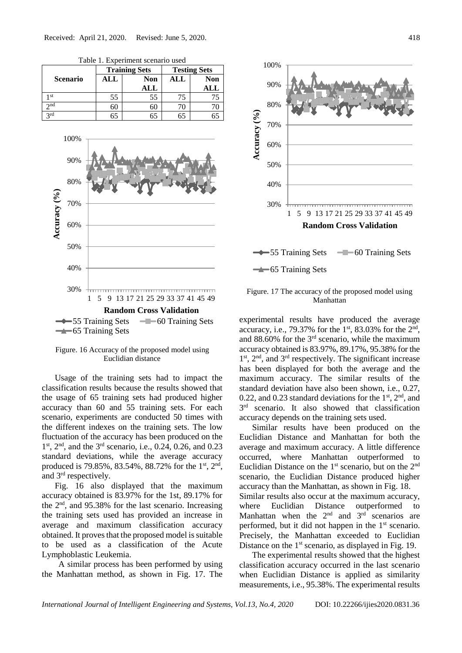

Table 1. Experiment scenario used



Figure. 16 Accuracy of the proposed model using Euclidian distance

Usage of the training sets had to impact the classification results because the results showed that the usage of 65 training sets had produced higher accuracy than 60 and 55 training sets. For each scenario, experiments are conducted 50 times with the different indexes on the training sets. The low fluctuation of the accuracy has been produced on the 1 st, 2nd, and the 3rd scenario, i.e., 0.24, 0.26, and 0.23 standard deviations, while the average accuracy produced is 79.85%, 83.54%, 88.72% for the 1<sup>st</sup>, 2<sup>nd</sup>, and 3rd respectively.

Fig. 16 also displayed that the maximum accuracy obtained is 83.97% for the 1st, 89.17% for the 2nd, and 95.38% for the last scenario. Increasing the training sets used has provided an increase in average and maximum classification accuracy obtained. It proves that the proposed model is suitable to be used as a classification of the Acute Lymphoblastic Leukemia.

A similar process has been performed by using the Manhattan method, as shown in Fig. 17. The



# Figure. 17 The accuracy of the proposed model using Manhattan

experimental results have produced the average accuracy, i.e., 79.37% for the  $1<sup>st</sup>$ , 83.03% for the  $2<sup>nd</sup>$ , and  $88.60\%$  for the  $3<sup>rd</sup>$  scenario, while the maximum accuracy obtained is 83.97%, 89.17%, 95.38% for the 1<sup>st</sup>, 2<sup>nd</sup>, and 3<sup>rd</sup> respectively. The significant increase has been displayed for both the average and the maximum accuracy. The similar results of the standard deviation have also been shown, i.e., 0.27, 0.22, and 0.23 standard deviations for the  $1<sup>st</sup>$ ,  $2<sup>nd</sup>$ , and 3<sup>rd</sup> scenario. It also showed that classification accuracy depends on the training sets used.

Similar results have been produced on the Euclidian Distance and Manhattan for both the average and maximum accuracy. A little difference occurred, where Manhattan outperformed to Euclidian Distance on the  $1<sup>st</sup>$  scenario, but on the  $2<sup>nd</sup>$ scenario, the Euclidian Distance produced higher accuracy than the Manhattan, as shown in Fig. 18.

Similar results also occur at the maximum accuracy, where Euclidian Distance outperformed to Manhattan when the  $2<sup>nd</sup>$  and  $3<sup>rd</sup>$  scenarios are performed, but it did not happen in the  $1<sup>st</sup>$  scenario. Precisely, the Manhattan exceeded to Euclidian Distance on the  $1<sup>st</sup>$  scenario, as displayed in Fig. 19.

The experimental results showed that the highest classification accuracy occurred in the last scenario when Euclidian Distance is applied as similarity measurements, i.e., 95.38%. The experimental results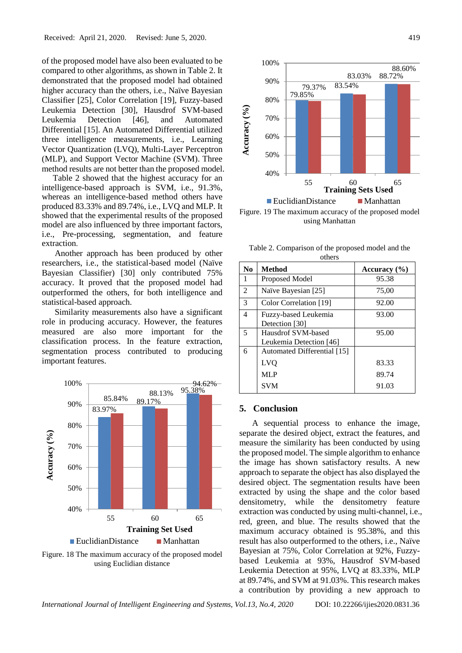of the proposed model have also been evaluated to be compared to other algorithms, as shown in Table 2. It demonstrated that the proposed model had obtained higher accuracy than the others, i.e., Naïve Bayesian Classifier [25], Color Correlation [19], Fuzzy-based Leukemia Detection [30], Hausdrof SVM-based Leukemia Detection [46], and Automated Differential [15]. An Automated Differential utilized three intelligence measurements, i.e., Learning Vector Quantization (LVQ), Multi-Layer Perceptron (MLP), and Support Vector Machine (SVM). Three method results are not better than the proposed model.

Table 2 showed that the highest accuracy for an intelligence-based approach is SVM, i.e., 91.3%, whereas an intelligence-based method others have produced 83.33% and 89.74%, i.e., LVQ and MLP. It showed that the experimental results of the proposed model are also influenced by three important factors, i.e., Pre-processing, segmentation, and feature extraction.

Another approach has been produced by other researchers, i.e., the statistical-based model (Naïve Bayesian Classifier) [30] only contributed 75% accuracy. It proved that the proposed model had outperformed the others, for both intelligence and statistical-based approach.

Similarity measurements also have a significant role in producing accuracy. However, the features measured are also more important for the classification process. In the feature extraction, segmentation process contributed to producing important features.



Figure. 18 The maximum accuracy of the proposed model using Euclidian distance



Figure. 19 The maximum accuracy of the proposed model using Manhattan

Table 2. Comparison of the proposed model and the others

| ours s         |                                               |              |  |  |  |  |  |
|----------------|-----------------------------------------------|--------------|--|--|--|--|--|
| N <sub>0</sub> | <b>Method</b>                                 | Accuracy (%) |  |  |  |  |  |
| 1              | Proposed Model                                | 95.38        |  |  |  |  |  |
| 2              | Naïve Bayesian [25]                           | 75,00        |  |  |  |  |  |
| 3              | Color Correlation [19]                        | 92.00        |  |  |  |  |  |
| 4              | Fuzzy-based Leukemia<br>Detection [30]        | 93.00        |  |  |  |  |  |
| 5              | Hausdrof SVM-based<br>Leukemia Detection [46] | 95.00        |  |  |  |  |  |
| 6              | Automated Differential [15]                   |              |  |  |  |  |  |
|                | LVQ                                           | 83.33        |  |  |  |  |  |
|                | MLP                                           | 89.74        |  |  |  |  |  |
|                | <b>SVM</b>                                    | 91.03        |  |  |  |  |  |

## **5. Conclusion**

A sequential process to enhance the image, separate the desired object, extract the features, and measure the similarity has been conducted by using the proposed model. The simple algorithm to enhance the image has shown satisfactory results. A new approach to separate the object has also displayed the desired object. The segmentation results have been extracted by using the shape and the color based densitometry, while the densitometry feature extraction was conducted by using multi-channel, i.e., red, green, and blue. The results showed that the maximum accuracy obtained is 95.38%, and this result has also outperformed to the others, i.e., Naïve Bayesian at 75%, Color Correlation at 92%, Fuzzybased Leukemia at 93%, Hausdrof SVM-based Leukemia Detection at 95%, LVQ at 83.33%, MLP at 89.74%, and SVM at 91.03%. This research makes a contribution by providing a new approach to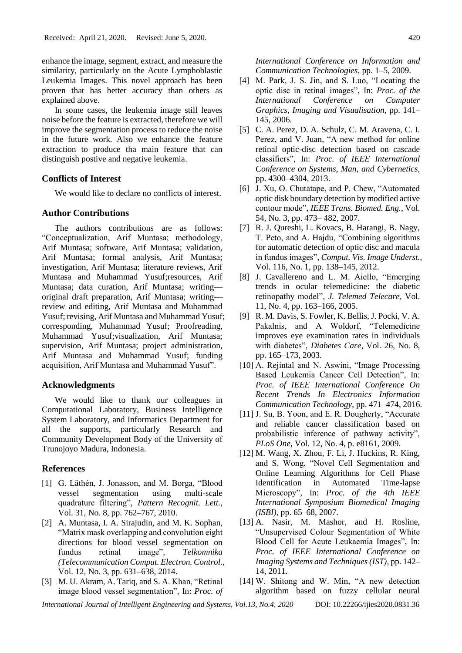enhance the image, segment, extract, and measure the similarity, particularly on the Acute Lymphoblastic Leukemia Images. This novel approach has been proven that has better accuracy than others as explained above.

In some cases, the leukemia image still leaves noise before the feature is extracted, therefore we will improve the segmentation process to reduce the noise in the future work. Also we enhance the feature extraction to produce tha main feature that can distinguish postive and negative leukemia.

# **Conflicts of Interest**

We would like to declare no conflicts of interest.

# **Author Contributions**

The authors contributions are as follows: "Conceptualization, Arif Muntasa; methodology, Arif Muntasa; software, Arif Muntasa; validation, Arif Muntasa; formal analysis, Arif Muntasa; investigation, Arif Muntasa; literature reviews, Arif Muntasa and Muhammad Yusuf;resources, Arif Muntasa; data curation, Arif Muntasa; writing original draft preparation, Arif Muntasa; writing review and editing, Arif Muntasa and Muhammad Yusuf; revising, Arif Muntasa and Muhammad Yusuf; corresponding, Muhammad Yusuf; Proofreading, Muhammad Yusuf;visualization, Arif Muntasa; supervision, Arif Muntasa; project administration, Arif Muntasa and Muhammad Yusuf; funding acquisition, Arif Muntasa and Muhammad Yusuf".

### **Acknowledgments**

We would like to thank our colleagues in Computational Laboratory, Business Intelligence System Laboratory, and Informatics Department for all the supports, particularly Research and Community Development Body of the University of Trunojoyo Madura, Indonesia.

### **References**

- [1] G. Läthén, J. Jonasson, and M. Borga, "Blood vessel segmentation using multi-scale quadrature filtering", *Pattern Recognit. Lett.*, Vol. 31, No. 8, pp. 762–767, 2010.
- [2] A. Muntasa, I. A. Sirajudin, and M. K. Sophan, "Matrix mask overlapping and convolution eight directions for blood vessel segmentation on fundus retinal image", *Telkomnika (Telecommunication Comput. Electron. Control.*, Vol. 12, No. 3, pp. 631–638, 2014.
- [3] M. U. Akram, A. Tariq, and S. A. Khan, "Retinal image blood vessel segmentation", In: *Proc. of*

*International Conference on Information and Communication Technologies*, pp. 1–5, 2009.

- [4] M. Park, J. S. Jin, and S. Luo, "Locating the optic disc in retinal images", In: *Proc. of the International Conference on Computer Graphics, Imaging and Visualisation*, pp. 141– 145, 2006.
- [5] C. A. Perez, D. A. Schulz, C. M. Aravena, C. I. Perez, and V. Juan, "A new method for online retinal optic-disc detection based on cascade classifiers", In: *Proc. of IEEE International Conference on Systems, Man, and Cybernetics*, pp. 4300–4304, 2013.
- [6] J. Xu, O. Chutatape, and P. Chew, "Automated optic disk boundary detection by modified active contour mode", *IEEE Trans. Biomed. Eng.*, Vol. 54, No. 3, pp. 473– 482, 2007.
- [7] R. J. Qureshi, L. Kovacs, B. Harangi, B. Nagy, T. Peto, and A. Hajdu, "Combining algorithms for automatic detection of optic disc and macula in fundus images", *Comput. Vis. Image Underst.*, Vol. 116, No. 1, pp. 138–145, 2012.
- [8] J. Cavallereno and L. M. Aiello, "Emerging trends in ocular telemedicine: the diabetic retinopathy model", *J. Telemed Telecare*, Vol. 11, No. 4, pp. 163–166, 2005.
- [9] R. M. Davis, S. Fowler, K. Bellis, J. Pocki, V. A. Pakalnis, and A Woldorf, "Telemedicine improves eye examination rates in individuals with diabetes", *Diabetes Care*, Vol. 26, No. 8, pp. 165–173, 2003.
- [10] A. Rejintal and N. Aswini, "Image Processing Based Leukemia Cancer Cell Detection", In: *Proc. of IEEE International Conference On Recent Trends In Electronics Information Communication Technology*, pp. 471–474, 2016.
- [11] J. Su, B. Yoon, and E. R. Dougherty, "Accurate" and reliable cancer classification based on probabilistic inference of pathway activity", *PLoS One*, Vol. 12, No. 4, p. e8161, 2009.
- [12] M. Wang, X. Zhou, F. Li, J. Huckins, R. King, and S. Wong, "Novel Cell Segmentation and Online Learning Algorithms for Cell Phase Identification in Automated Time-lapse Microscopy", In: *Proc. of the 4th IEEE International Symposium Biomedical Imaging (ISBI)*, pp. 65–68, 2007.
- [13] A. Nasir, M. Mashor, and H. Rosline, "Unsupervised Colour Segmentation of White Blood Cell for Acute Leukaemia Images", In: *Proc. of IEEE International Conference on Imaging Systems and Techniques (IST)*, pp. 142– 14, 2011.
- [14] W. Shitong and W. Min, "A new detection algorithm based on fuzzy cellular neural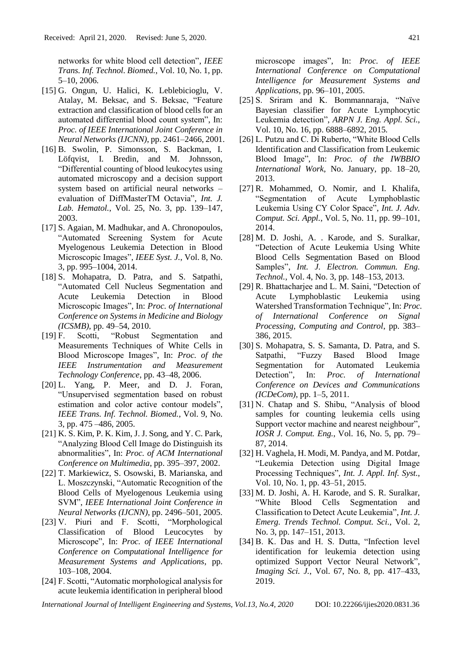networks for white blood cell detection", *IEEE Trans. Inf. Technol. Biomed.*, Vol. 10, No. 1, pp. 5–10, 2006.

- [15] G. Ongun, U. Halici, K. Leblebicioglu, V. Atalay, M. Beksac, and S. Beksac, "Feature extraction and classification of blood cells for an automated differential blood count system", In: *Proc. of IEEE International Joint Conference in Neural Networks (IJCNN)*, pp. 2461–2466, 2001.
- [16] B. Swolin, P. Simonsson, S. Backman, I. Löfqvist, I. Bredin, and M. Johnsson, "Differential counting of blood leukocytes using automated microscopy and a decision support system based on artificial neural networks – evaluation of DiffMasterTM Octavia", *Int. J. Lab. Hematol.*, Vol. 25, No. 3, pp. 139–147, 2003.
- [17] S. Agaian, M. Madhukar, and A. Chronopoulos, "Automated Screening System for Acute Myelogenous Leukemia Detection in Blood Microscopic Images", *IEEE Syst. J.*, Vol. 8, No. 3, pp. 995–1004, 2014.
- [18] S. Mohapatra, D. Patra, and S. Satpathi, "Automated Cell Nucleus Segmentation and Acute Leukemia Detection in Blood Microscopic Images", In: *Proc. of International Conference on Systems in Medicine and Biology (ICSMB)*, pp. 49–54, 2010.
- [19] F. Scotti, "Robust Segmentation and Measurements Techniques of White Cells in Blood Microscope Images", In: *Proc. of the IEEE Instrumentation and Measurement Technology Conference*, pp. 43–48, 2006.
- [20] L. Yang, P. Meer, and D. J. Foran, "Unsupervised segmentation based on robust estimation and color active contour models", *IEEE Trans. Inf. Technol. Biomed.*, Vol. 9, No. 3, pp. 475 –486, 2005.
- [21] K. S. Kim, P. K. Kim, J. J. Song, and Y. C. Park, "Analyzing Blood Cell Image do Distinguish its abnormalities", In: *Proc. of ACM International Conference on Multimedia*, pp. 395–397, 2002.
- [22] T. Markiewicz, S. Osowski, B. Marianska, and L. Moszczynski, "Automatic Recognition of the Blood Cells of Myelogenous Leukemia using SVM", *IEEE International Joint Conference in Neural Networks (IJCNN)*, pp. 2496–501, 2005.
- [23] V. Piuri and F. Scotti, "Morphological Classification of Blood Leucocytes by Microscope", In: *Proc. of IEEE International Conference on Computational Intelligence for Measurement Systems and Applications*, pp. 103–108, 2004.
- [24] F. Scotti, "Automatic morphological analysis for acute leukemia identification in peripheral blood

microscope images", In: *Proc. of IEEE International Conference on Computational Intelligence for Measurement Systems and Applications*, pp. 96–101, 2005.

- [25] S. Sriram and K. Bommannaraja, "Naïve Bayesian classifier for Acute Lymphocytic Leukemia detection", *ARPN J. Eng. Appl. Sci.*, Vol. 10, No. 16, pp. 6888–6892, 2015.
- [26] L. Putzu and C. Di Ruberto, "White Blood Cells Identification and Classification from Leukemic Blood Image", In: *Proc. of the IWBBIO International Work*, No. January, pp. 18–20, 2013.
- [27] R. Mohammed, O. Nomir, and I. Khalifa, "Segmentation of Acute Lymphoblastic Leukemia Using CY Color Space", *Int. J. Adv. Comput. Sci. Appl.*, Vol. 5, No. 11, pp. 99–101, 2014.
- [28] M. D. Joshi, A. . Karode, and S. Suralkar, "Detection of Acute Leukemia Using White Blood Cells Segmentation Based on Blood Samples", *Int. J. Electron. Commun. Eng. Technol.*, Vol. 4, No. 3, pp. 148–153, 2013.
- [29] R. Bhattacharjee and L. M. Saini, "Detection of Acute Lymphoblastic Leukemia using Watershed Transformation Technique", In: *Proc. of International Conference on Signal Processing, Computing and Control*, pp. 383– 386, 2015.
- [30] S. Mohapatra, S. S. Samanta, D. Patra, and S. Satpathi, "Fuzzy Based Blood Image Segmentation for Automated Leukemia Detection", In: *Proc. of International Conference on Devices and Communications (ICDeCom)*, pp. 1–5, 2011.
- [31] N. Chatap and S. Shibu, "Analysis of blood samples for counting leukemia cells using Support vector machine and nearest neighbour", *IOSR J. Comput. Eng.*, Vol. 16, No. 5, pp. 79– 87, 2014.
- [32] H. Vaghela, H. Modi, M. Pandya, and M. Potdar, "Leukemia Detection using Digital Image Processing Techniques", *Int. J. Appl. Inf. Syst.*, Vol. 10, No. 1, pp. 43–51, 2015.
- [33] M. D. Joshi, A. H. Karode, and S. R. Suralkar, "White Blood Cells Segmentation and Classification to Detect Acute Leukemia", *Int. J. Emerg. Trends Technol. Comput. Sci.*, Vol. 2, No. 3, pp. 147–151, 2013.
- [34] B. K. Das and H. S. Dutta, "Infection level identification for leukemia detection using optimized Support Vector Neural Network", *Imaging Sci. J.*, Vol. 67, No. 8, pp. 417–433, 2019.